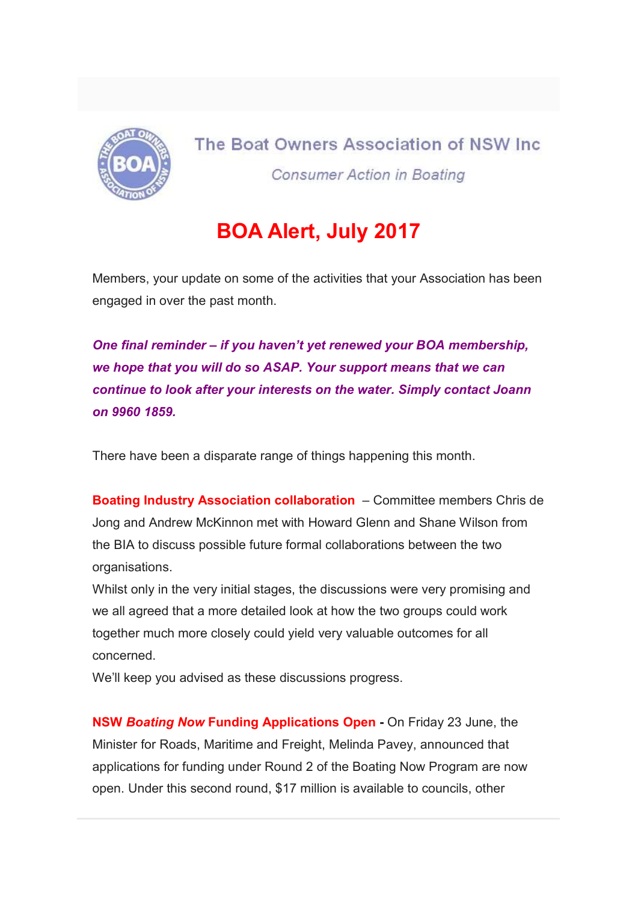

The Boat Owners Association of NSW Inc. **Consumer Action in Boating** 

## BOA Alert, July 2017

Members, your update on some of the activities that your Association has been engaged in over the past month.

One final reminder – if you haven't yet renewed your BOA membership, we hope that you will do so ASAP. Your support means that we can continue to look after your interests on the water. Simply contact Joann on 9960 1859.

There have been a disparate range of things happening this month.

Boating Industry Association collaboration – Committee members Chris de Jong and Andrew McKinnon met with Howard Glenn and Shane Wilson from the BIA to discuss possible future formal collaborations between the two organisations.

Whilst only in the very initial stages, the discussions were very promising and we all agreed that a more detailed look at how the two groups could work together much more closely could yield very valuable outcomes for all concerned.

We'll keep you advised as these discussions progress.

NSW Boating Now Funding Applications Open - On Friday 23 June, the Minister for Roads, Maritime and Freight, Melinda Pavey, announced that applications for funding under Round 2 of the Boating Now Program are now open. Under this second round, \$17 million is available to councils, other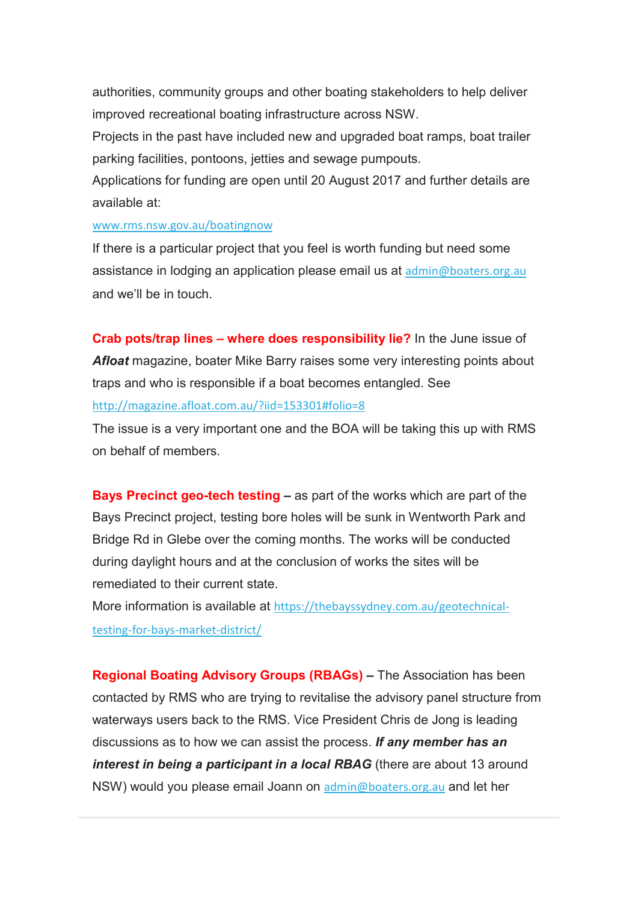authorities, community groups and other boating stakeholders to help deliver improved recreational boating infrastructure across NSW.

Projects in the past have included new and upgraded boat ramps, boat trailer parking facilities, pontoons, jetties and sewage pumpouts.

Applications for funding are open until 20 August 2017 and further details are available at:

## www.rms.nsw.gov.au/boatingnow

If there is a particular project that you feel is worth funding but need some assistance in lodging an application please email us at admin@boaters.org.au and we'll be in touch.

Crab pots/trap lines – where does responsibility lie? In the June issue of Afloat magazine, boater Mike Barry raises some very interesting points about traps and who is responsible if a boat becomes entangled. See http://magazine.afloat.com.au/?iid=153301#folio=8

The issue is a very important one and the BOA will be taking this up with RMS on behalf of members.

Bays Precinct geo-tech testing – as part of the works which are part of the Bays Precinct project, testing bore holes will be sunk in Wentworth Park and Bridge Rd in Glebe over the coming months. The works will be conducted during daylight hours and at the conclusion of works the sites will be remediated to their current state.

More information is available at https://thebayssydney.com.au/geotechnicaltesting-for-bays-market-district/

Regional Boating Advisory Groups (RBAGs) – The Association has been contacted by RMS who are trying to revitalise the advisory panel structure from waterways users back to the RMS. Vice President Chris de Jong is leading discussions as to how we can assist the process. If any member has an interest in being a participant in a local RBAG (there are about 13 around NSW) would you please email Joann on admin@boaters.org.au and let her